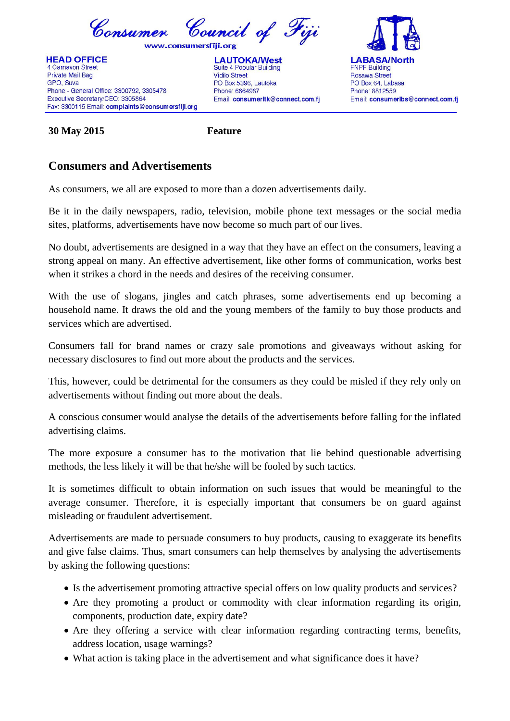

**HEAD OFFICE** 4 Carnavon Street **Private Mail Bag** GPO, Suva Phone - General Office: 3300792, 3305478 Executive Secretary/CEO: 3305864 Fax: 3300115 Email: complaints@consumersfiji.org

**LAUTOKA/West** Suite 4 Popular Building **Vidilo Street** PO Box 5396. Lautoka Phone: 6664987 Email: consumerItk@connect.com.fj



**30 May 2015 Feature**

## **Consumers and Advertisements**

As consumers, we all are exposed to more than a dozen advertisements daily.

Be it in the daily newspapers, radio, television, mobile phone text messages or the social media sites, platforms, advertisements have now become so much part of our lives.

No doubt, advertisements are designed in a way that they have an effect on the consumers, leaving a strong appeal on many. An effective advertisement, like other forms of communication, works best when it strikes a chord in the needs and desires of the receiving consumer.

With the use of slogans, jingles and catch phrases, some advertisements end up becoming a household name. It draws the old and the young members of the family to buy those products and services which are advertised.

Consumers fall for brand names or crazy sale promotions and giveaways without asking for necessary disclosures to find out more about the products and the services.

This, however, could be detrimental for the consumers as they could be misled if they rely only on advertisements without finding out more about the deals.

A conscious consumer would analyse the details of the advertisements before falling for the inflated advertising claims.

The more exposure a consumer has to the motivation that lie behind questionable advertising methods, the less likely it will be that he/she will be fooled by such tactics.

It is sometimes difficult to obtain information on such issues that would be meaningful to the average consumer. Therefore, it is especially important that consumers be on guard against misleading or fraudulent advertisement.

Advertisements are made to persuade consumers to buy products, causing to exaggerate its benefits and give false claims. Thus, smart consumers can help themselves by analysing the advertisements by asking the following questions:

- Is the advertisement promoting attractive special offers on low quality products and services?
- Are they promoting a product or commodity with clear information regarding its origin, components, production date, expiry date?
- Are they offering a service with clear information regarding contracting terms, benefits, address location, usage warnings?
- What action is taking place in the advertisement and what significance does it have?